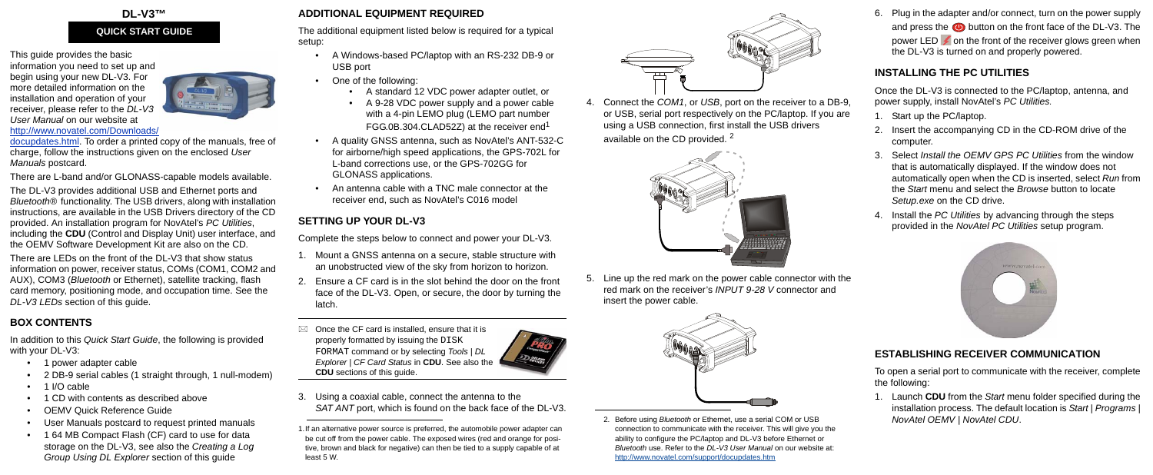#### **DL-V3™**

This guide provides the basic information you need to set up and begin using your new DL-V3. For more detailed information on the installation and operation of your receiver, please refer to the *DL-V3 User Manual* [on our website at](http://www.novatel.com/Downloads/docupdates.html) 



docupdates.html. To order a printed copy of the manuals, free of charge, follow the instructions given on the enclosed *User Manuals* postcard.

#### http://www.novatel.com/Downloads/

There are L-band and/or GLONASS-capable models available.

The DL-V3 provides additional USB and Ethernet ports and *Bluetooth®* functionality. The USB drivers, along with installation instructions, are available in the USB Drivers directory of the CD provided. An installation program for NovAtel's *PC Utilities*, including the **CDU** (Control and Display Unit) user interface, and the OEMV Software Development Kit are also on the CD*.*

- 1 power adapter cable
- 2 DB-9 serial cables (1 straight through, 1 null-modem)
- 1 I/O cable
- 1 CD with contents as described above
- OEMV Quick Reference Guide
- User Manuals postcard to request printed manuals
- 1 64 MB Compact Flash (CF) card to use for data storage on the DL-V3, see also the *Creating a Log Group Using DL Explorer* section of this guide

There are LEDs on the front of the DL-V3 that show status information on power, receiver status, COMs (COM1, COM2 and AUX), COM3 (*Bluetooth* or Ethernet), satellite tracking, flash card memory, positioning mode, and occupation time. See the *DL-V3 LEDs* section of this guide.

# **BOX CONTENTS**

In addition to this *Quick Start Guide*, the following is provided with your DL-V3:

4. Connect the *COM1*, or *USB*, port on the receiver to a DB-9, or USB, serial port respectively on the PC/laptop. If you are using a USB connection, first install the USB drivers available on the CD provided.<sup>2</sup>



# **ADDITIONAL EQUIPMENT REQUIRED**

The additional equipment listed below is required for a typical setup:

- A Windows-based PC/laptop with an RS-232 DB-9 or USB port
- One of the following:
	- A standard 12 VDC power adapter outlet, or
	- A 9-28 VDC power supply and a power cable with a 4-pin LEMO plug (LEMO part number FGG.0B.304.CLAD52Z) at the receiver end<sup>1</sup>
- A quality GNSS antenna, such as NovAtel's ANT-532-C for airborne/high speed applications, the GPS-702L for L-band corrections use, or the GPS-702GG for GLONASS applications.
- An antenna cable with a TNC male connector at the receiver end, such as NovAtel's C016 model

# **SETTING UP YOUR DL-V3**

Complete the steps below to connect and power your DL-V3.

- 1. Mount a GNSS antenna on a secure, stable structure with an unobstructed view of the sky from horizon to horizon.
- 2. Ensure a CF card is in the slot behind the door on the front face of the DL-V3. Open, or secure, the door by turning the latch.
- $\boxtimes$  Once the CF card is installed, ensure that it is properly formatted by issuing the DISK FORMAT command or by selecting *Tools | DL Explorer | CF Card Status* in **CDU**. See also the **CDU** sections of this guide.
	-
- 3. Using a coaxial cable, connect the antenna to the *SAT ANT* port, which is found on the back face of the DL-V3.

5. Line up the red mark on the power cable connector with the red mark on the receiver's *INPUT 9-28 V* connector and insert the power cable.



6. Plug in the adapter and/or connect, turn on the power supply and press the  $\bigcirc$  button on the front face of the DL-V3. The power LED  $\neq$  on the front of the receiver glows green when the DL-V3 is turned on and properly powered.

#### **INSTALLING THE PC UTILITIES**

Once the DL-V3 is connected to the PC/laptop, antenna, and power supply, install NovAtel's *PC Utilities.*

- 1. Start up the PC/laptop.
- 2. Insert the accompanying CD in the CD-ROM drive of the computer.
- 3. Select *Install the OEMV GPS PC Utilities* from the window that is automatically displayed. If the window does not automatically open when the CD is inserted, select *Run* from the *Start* menu and select the *Browse* button to locate *Setup.exe* on the CD drive.
- 4. Install the *PC Utilities* by advancing through the steps provided in the *NovAtel PC Utilities* setup program.



### **ESTABLISHING RECEIVER COMMUNICATION**

To open a serial port to communicate with the receiver, complete the following:

1. Launch **CDU** from the *Start* menu folder specified during the installation process. The default location is *Start | Programs | NovAtel OEMV | NovAtel CDU*.

#### **QUICK START GUIDE**



2. Before using *Bluetooth* or Ethernet, use a serial COM or USB connection to communicate with the receiver. This will give you the ability to configure the PC/laptop and DL-V3 before Ethernet or *Bluetooth* use. Refer to the *DL-V3 User Manual* on our website at: http://www.novatel.com/support/docupdates.htm

<sup>1.</sup>If an alternative power source is preferred, the automobile power adapter can be cut off from the power cable. The exposed wires (red and orange for positive, brown and black for negative) can then be tied to a supply capable of at least 5 W.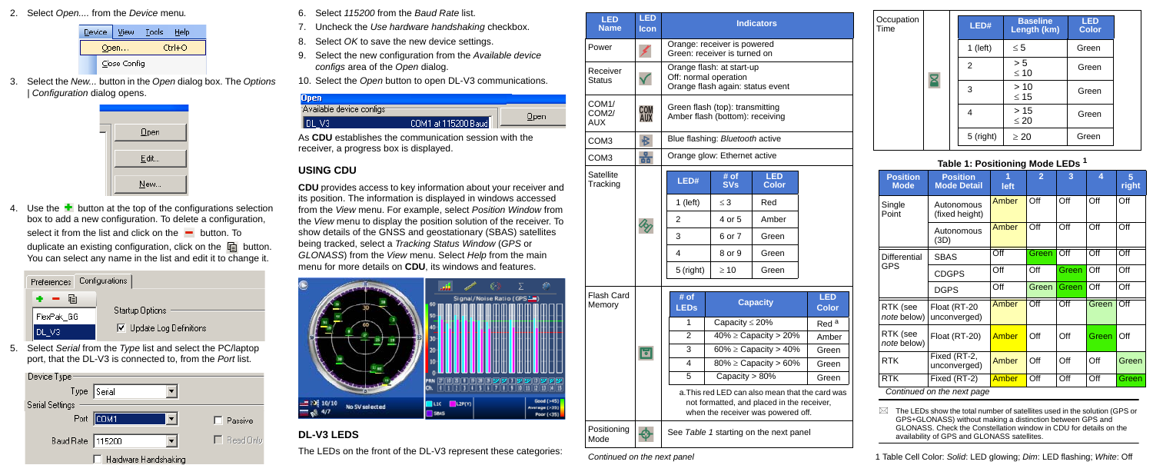2. Select *Open....* from the *Device* menu*.*

| Device |  | View         | Tools  | Help |  |  |
|--------|--|--------------|--------|------|--|--|
| Open   |  |              | Ctrl+O |      |  |  |
|        |  | Close Config |        |      |  |  |

3. Select the *New...* button in the *Open* dialog box. The *Options | Configuration* dialog opens.



4. Use the  $\pm$  button at the top of the configurations selection box to add a new configuration. To delete a configuration, select it from the list and click on the  $\blacksquare$  button. To duplicate an existing configuration, click on the  $\Box$  button. You can select any name in the list and edit it to change it.



5. Select *Serial* from the *Type* list and select the PC/laptop port, that the DL-V3 is connected to, from the *Port* list.



- 6. Select *115200* from the *Baud Rate* list.
- 7. Uncheck the *Use hardware handshaking* checkbox.
- 8. Select *OK* to save the new device settings.
- 9. Select the new configuration from the *Available device configs* area of the *Open* dialog.

10. Select the *Open* button to open DL-V3 communications.



As **CDU** establishes the communication session with the receiver, a progress box is displayed.

### **USING CDU**

**CDU** provides access to key information about your receiver and its position. The information is displayed in windows accessed from the *View* menu. For example, select *Position Window* from the *View* menu to display the position solution of the receiver. To show details of the GNSS and geostationary (SBAS) satellites being tracked, select a *Tracking Status Window* (*GPS* or *GLONASS*) from the *View* menu. Select *Help* from the main menu for more details on **CDU**, its windows and features.



# **DL-V3 LEDS**

The LEDs on the front of the DL-V3 represent these categories:

 $\boxtimes$  The LEDs show the total number of satellites used in the solution (GPS or GPS+GLONASS) without making a distinction between GPS and GLONASS. Check the Constellation window in CDU for details on the availability of GPS and GLONASS satellites.

Positioning ⊕ Mode

See *[Table 1](#page-1-0)* starting on the next panel

| <b>LED</b><br><b>Name</b>                              | <b>LED</b><br>Icon       | <b>Indicators</b>                                                                      |                                 |                                                                                  |                                                 |  |  |
|--------------------------------------------------------|--------------------------|----------------------------------------------------------------------------------------|---------------------------------|----------------------------------------------------------------------------------|-------------------------------------------------|--|--|
| Power                                                  |                          | Orange: receiver is powered<br>Green: receiver is turned on                            |                                 |                                                                                  |                                                 |  |  |
| Receiver<br><b>Status</b>                              |                          | Orange flash: at start-up<br>Off: normal operation<br>Orange flash again: status event |                                 |                                                                                  |                                                 |  |  |
| COM <sub>1</sub> /<br>COM <sub>2</sub> /<br><b>AUX</b> | <b>COM</b><br><b>AUX</b> | Green flash (top): transmitting<br>Amber flash (bottom): receiving                     |                                 |                                                                                  |                                                 |  |  |
| COM <sub>3</sub>                                       | $\ast$                   |                                                                                        | Blue flashing: Bluetooth active |                                                                                  |                                                 |  |  |
| COM <sub>3</sub>                                       | 풂                        | Orange glow: Ethernet active                                                           |                                 |                                                                                  |                                                 |  |  |
| Satellite<br>Tracking                                  | loj                      | LED#                                                                                   | # of<br><b>SVs</b>              | <b>LED</b><br><b>Color</b>                                                       |                                                 |  |  |
|                                                        |                          | 1 (left)                                                                               | $\leq$ 3                        | Red                                                                              |                                                 |  |  |
|                                                        |                          | $\overline{2}$                                                                         | 4 or 5                          | Amber                                                                            |                                                 |  |  |
|                                                        |                          | 3                                                                                      | 6 or 7                          | Green                                                                            |                                                 |  |  |
|                                                        |                          | 4                                                                                      | 8 or 9                          | Green                                                                            |                                                 |  |  |
|                                                        |                          | 5 (right)                                                                              | $\geq 10$                       | Green                                                                            |                                                 |  |  |
| <b>Flash Card</b>                                      |                          | # of                                                                                   |                                 |                                                                                  | <b>LED</b>                                      |  |  |
| Memory                                                 |                          | <b>LEDs</b>                                                                            | <b>Capacity</b>                 |                                                                                  | <b>Color</b>                                    |  |  |
|                                                        | 固                        | 1                                                                                      | Capacity $\leq$ 20%             |                                                                                  | Red <sup>a</sup>                                |  |  |
|                                                        |                          | $\overline{2}$                                                                         | $40\% \geq$ Capacity > 20%      | Amber                                                                            |                                                 |  |  |
|                                                        |                          | 3<br>60% $\geq$ Capacity $> 40\%$                                                      |                                 | Green                                                                            |                                                 |  |  |
|                                                        |                          | $\overline{\mathbf{4}}$                                                                | $80\% \geq$ Capacity > 60%      | Green                                                                            |                                                 |  |  |
|                                                        |                          | 5                                                                                      | Capacity $> 80\%$               |                                                                                  | Green                                           |  |  |
|                                                        |                          |                                                                                        |                                 | not formatted, and placed in the receiver,<br>when the receiver was powered off. | a. This red LED can also mean that the card was |  |  |

*Continued on the next panel*

| Occupation<br>Time |  | LED#       | <b>Baseline</b><br>Length (km) | <b>LED</b><br><b>Color</b> |
|--------------------|--|------------|--------------------------------|----------------------------|
|                    |  | $1$ (left) | $\leq 5$                       | Green                      |
|                    |  | 2          | > 5<br>$\leq 10$               | Green                      |
|                    |  | 3          | >10<br>$\leq 15$               | Green                      |
|                    |  | 4          | $>15$<br>$\leq 20$             | Green                      |
|                    |  | 5 (right)  | $\geq 20$                      | Green                      |

#### **Table 1: Positioning Mode LEDs 1**

<span id="page-1-0"></span>

| <b>Position</b><br><b>Mode</b> | <b>Position</b><br><b>Mode Detail</b> | 1<br>left | $\overline{2}$ | 3     | 4     | 5<br>right |
|--------------------------------|---------------------------------------|-----------|----------------|-------|-------|------------|
| Single<br>Point                | Autonomous<br>(fixed height)          | Amber     | Off            | Off   | Off   | Off        |
|                                | Autonomous<br>(3D)                    | Amber     | Off            | Off   | Off   | Off        |
| Differential                   | <b>SBAS</b>                           | Off       | Green          | Off   | Off   | Off        |
| GPS                            | <b>CDGPS</b>                          | Off       | Off            | Green | Off   | Off        |
|                                | <b>DGPS</b>                           | Off       | Green          | Green | Off   | Off        |
| RTK (see<br>note below)        | Float (RT-20<br>unconverged)          | Amber     | Off            | Off   | Green | Off        |
| RTK (see<br>note below)        | Float (RT-20)                         | Amber     | Off            | Off   | Green | Off        |
| <b>RTK</b>                     | Fixed (RT-2,<br>unconverged)          | Amber     | Off            | Off   | Off   | Green      |
| RTK                            | Fixed (RT-2)                          | Amber     | Off            | Off   | Off   | Green      |
| Continued on the next page     |                                       |           |                |       |       |            |

1 Table Cell Color: *Solid*: LED glowing; *Dim*: LED flashing; *White*: Off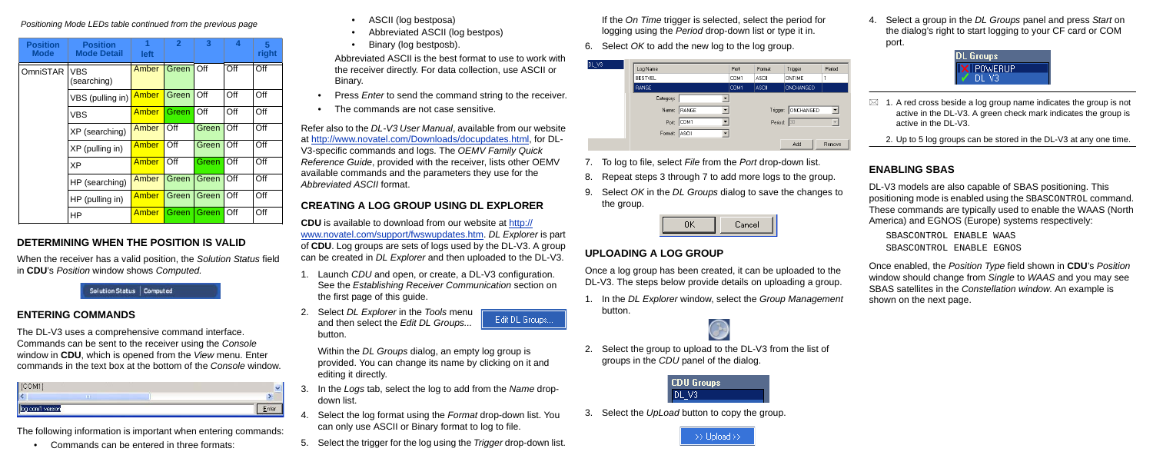### **DETERMINING WHEN THE POSITION IS VALID**

When the receiver has a valid position, the *Solution Status* field in **CDU**'s *Position* window shows *Computed.*

Solution Status | Computed

#### **ENTERING COMMANDS**

The DL-V3 uses a comprehensive command interface. Commands can be sent to the receiver using the *Console* window in **CDU**, which is opened from the *View* menu. Enter commands in the text box at the bottom of the *Console* window.

| 7.71.441       |   |       |
|----------------|---|-------|
|                | Ш |       |
| g com1 version |   | chter |

- Press *Enter* to send the command string to the receiver.
- The commands are not case sensitive.

The following information is important when entering commands:

• Commands can be entered in three formats:

- ASCII (log bestposa)
- Abbreviated ASCII (log bestpos)
- Binary (log bestposb).

Abbreviated ASCII is the best format to use to work with the receiver directly. For data collection, use ASCII or Binary.

Refer also to the *DL-V3 User Manual*, available from our website at http://www.novatel.com/Downloads/docupdates.html, for DL-V3-specific commands and logs. The *OEMV Family Quick Reference Guide*, provided with the receiver, lists other OEMV available commands and the parameters they use for the *Abbreviated ASCII* format.

## **CREATING A LOG GROUP USING DL EXPLORER**

**CDU** is available to download from our website at http:// www.novatel.com/support/fwswupdates.ht[m.](http://www.novatel.com/support/fwswupdates.htm) *DL Explorer* is part of **CDU**. Log groups are sets of logs used by the DL-V3. A group can be created in *DL Explorer* and then uploaded to the DL-V3.

1. Launch *CDU* and open, or create, a DL-V3 configuration. See the *Establishing Receiver Communication* section on the first page of this guide.

Edit DL Groups...

- $\boxtimes$  1. A red cross beside a log group name indicates the group is not active in the DL-V3. A green check mark indicates the group is active in the DL-V3.
	- 2. Up to 5 log groups can be stored in the DL-V3 at any one time.

2. Select *DL Explorer* in the *Tools* menu and then select the *Edit DL Groups...* button.

Within the *DL Groups* dialog, an empty log group is provided. You can change its name by clicking on it and editing it directly.

- 3. In the *Logs* tab, select the log to add from the *Name* dropdown list.
- 4. Select the log format using the *Format* drop-down list. You can only use ASCII or Binary format to log to file.
- 5. Select the trigger for the log using the *Trigger* drop-down list.

If the *On Time* trigger is selected, select the period for logging using the *Period* drop-down list or type it in.

6. Select *OK* to add the new log to the log group.

| DL_V3 |                |       |              |               |           |        |
|-------|----------------|-------|--------------|---------------|-----------|--------|
|       | Log Name       |       | Port         | Format        | Trigger   | Period |
|       | <b>BESTVEL</b> | COM1  | <b>ASCII</b> | <b>ONTIME</b> |           |        |
|       | <b>RANGE</b>   |       | COM1         | ASCII         | ONCHANGED |        |
|       | Category:      |       |              |               |           |        |
|       | Name:          | RANGE |              | Trigger:      | ONCHANGED | ▼      |
|       | Port:          | COM1  |              | Period:       | 30        |        |
|       | Format:        | ASCII |              |               |           |        |
|       |                |       |              |               | Add       | Remove |

- 7. To log to file, select *File* from the *Port* drop-down list.
- 8. Repeat steps 3 through 7 to add more logs to the group.
- 9. Select *OK* in the *DL Groups* dialog to save the changes to the group.



### **UPLOADING A LOG GROUP**

Once a log group has been created, it can be uploaded to the DL-V3. The steps below provide details on uploading a group.

1. In the *DL Explorer* window, select the *Group Management* button.



2. Select the group to upload to the DL-V3 from the list of groups in the *CDU* panel of the dialog.



3. Select the *UpLoad* button to copy the group.



4. Select a group in the *DL Groups* panel and press *Start* on the dialog's right to start logging to your CF card or COM port.



#### **ENABLING SBAS**

DL-V3 models are also capable of SBAS positioning. This positioning mode is enabled using the SBASCONTROL command. These commands are typically used to enable the WAAS (North America) and EGNOS (Europe) systems respectively:

SBASCONTROL ENABLE WAAS SBASCONTROL ENABLE EGNOS

Once enabled, the *Position Type* field shown in **CDU**'s *Position* window should change from *Single* to *WAAS* and you may see SBAS satellites in the *Constellation window*. An example is shown on the next page.

#### *Positioning Mode LEDs table continued from the previous page*

| <b>Position</b><br><b>Mode</b> | <b>Position</b><br><b>Mode Detail</b> | 1<br><b>left</b> | $\overline{2}$ | 3     | 4   | 5<br>right |
|--------------------------------|---------------------------------------|------------------|----------------|-------|-----|------------|
| OmniSTAR                       | VBS<br>(searching)                    | Amber            | Green Off      |       | Off | Off        |
|                                | VBS (pulling in)                      | Amber            | Green          | Off   | Off | Off        |
|                                | <b>VBS</b>                            | Amber            | Green          | Off   | Off | Off        |
|                                | XP (searching)                        | Amber            | Off            | Green | Off | Off        |
|                                | XP (pulling in)                       | Amber            | Off            | Green | Off | Off        |
|                                | <b>XP</b>                             | Amber            | Off            | Green | Off | Off        |
|                                | HP (searching)                        | Amber            | Green          | Green | Off | Off        |
|                                | HP (pulling in)                       | Amber            | Green          | Green | Off | Off        |
|                                | <b>HP</b>                             | Amber            | Green          | Green | Off | Off        |